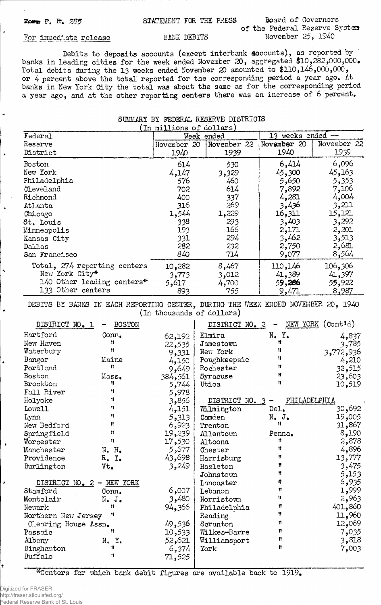$\overline{\phantom{0}}$ 

## F<sub>orm</sub> P. R. 285 STATEMENT FOR THE PRESS Board of Governors

# of the Federal Reserve System For immediate release BANK DEBITS November 25, 1940

**Debits to deposits accounts (except interbank accounts), as reported by banks in leading cities for the week ended November 20, aggregated \$10,282,000,000. Total debits during the 13 weeks ended November 20 amounted to \$110,146,000,000, or 4 percent above the total reported for the corresponding period a year ago. At banks in New York City the total was about the same as for the corresponding period a year ago, and at the other reporting centers there was an increase of 6 percent.**

### **SUMMARY BY FEDERAL RESERVE DISTRICTS \_\_\_\_\_(in millions of dollars)\_\_\_\_\_**

| 'TII MTTTYONS OT MOTTOMS)    |             |             |                   |             |  |
|------------------------------|-------------|-------------|-------------------|-------------|--|
| Federal                      | Week ended  |             | 13 weeks ended -- |             |  |
| Reserve                      | November 20 | November 22 | November 20       | November 22 |  |
| District                     | 1940        | 1939        | 1940              | 1939        |  |
| Boston                       | 614         | 530         | 6,414             | 6,096       |  |
| New York                     | 4,147       | 3,329       | 45,300            | 45,163      |  |
| Philadelphia                 | 576         | 460         | 5,650             | 5,353       |  |
| Cleveland                    | 702         | 614         | 7,892             | 7,106       |  |
| Richmond                     | 400         | 337         | 4,281             | 4,004       |  |
| Atlanta                      | 316         | 269         | 3,436             | 3,211       |  |
| Chicago                      | 1,544       | 1,229       | 16,311            | 15,121      |  |
| St. Louis                    | 338         | 293         | 3,403             | 3,292       |  |
| Minneapolis                  | 193         | 166         | 2,171             | 2,201       |  |
| Kansas City                  | 331         | 294         | 3,462             | 3,513       |  |
| Dallas                       | 282         | 232         | 2,750             | 2,681       |  |
| San Francisco                | 840         | 714         | 9,077             | 8,564       |  |
| Total, 274 reporting centers | 10,282      | 8,467       | 110,146           | 106,306     |  |
| New York City*               | 3,773       | 3,012       | 41,389            | 41,397      |  |
| 140 Other leading centers*   | 5,617       | 4,700       | 59,286            | 55,922      |  |
| 133 Other centers            | 893         | 755         | 9,471             | 8,987       |  |

**DEBITS BY BANKS IN EACH REPORTING CENTER, DURING THE WEEK ENDED NOVEMBER 2.0, 1940 (in thousands of dollars)**

| DISTRICT NO. 1<br><b>BOSTON</b> |                                               |                                                                                                                                           | $\overline{\phantom{m}}$                                                                                        | NEW YORK (Contid)                                                                   |
|---------------------------------|-----------------------------------------------|-------------------------------------------------------------------------------------------------------------------------------------------|-----------------------------------------------------------------------------------------------------------------|-------------------------------------------------------------------------------------|
| Conn.                           |                                               |                                                                                                                                           |                                                                                                                 | 4,837                                                                               |
| n                               |                                               |                                                                                                                                           | Ħ                                                                                                               | 3,785                                                                               |
| Ħ                               |                                               |                                                                                                                                           | Ħ                                                                                                               | 3,772,936                                                                           |
|                                 |                                               |                                                                                                                                           | Ħ                                                                                                               | 4,210                                                                               |
| Ħ                               |                                               |                                                                                                                                           | Ħ                                                                                                               | 32,515                                                                              |
|                                 |                                               |                                                                                                                                           | Ħ                                                                                                               | 23,603                                                                              |
| Ħ                               |                                               |                                                                                                                                           | Ħ                                                                                                               | 10,519                                                                              |
| Ħ                               |                                               |                                                                                                                                           |                                                                                                                 |                                                                                     |
| Ħ                               |                                               |                                                                                                                                           |                                                                                                                 | PHILADELPHIA                                                                        |
| Ħ                               |                                               |                                                                                                                                           | Del.                                                                                                            | 30,692                                                                              |
| Ħ                               |                                               | Camden                                                                                                                                    |                                                                                                                 | 19,005                                                                              |
| Ħ                               |                                               | Trenton                                                                                                                                   | Ħ                                                                                                               | 31,867                                                                              |
| Ħ                               |                                               | Allentown                                                                                                                                 | Penna.                                                                                                          | 8,190                                                                               |
| n                               | 17,530                                        | Altoona                                                                                                                                   | Ħ                                                                                                               | 2,878                                                                               |
|                                 | 5,677 و                                       | Chester                                                                                                                                   | Ħ                                                                                                               | 4,896                                                                               |
| $R_{\bullet}$ $I_{\bullet}$     | 43,698                                        | Harrisburg                                                                                                                                | n                                                                                                               | 13,777                                                                              |
| Vt.                             | 3,249                                         | Hazleton                                                                                                                                  | Ħ                                                                                                               | 3,475                                                                               |
|                                 |                                               | Johnstown                                                                                                                                 | Ħ                                                                                                               | 5,153                                                                               |
| DISTRICT NO. 2 - NEW YORK       |                                               | Lancaster                                                                                                                                 | ₩.                                                                                                              | 6,935                                                                               |
| Conn.                           | 6,007                                         | Lebanon                                                                                                                                   | 11                                                                                                              | 1,999                                                                               |
| $N - Jo$                        |                                               | Norristown                                                                                                                                | Ħ                                                                                                               | 2,963                                                                               |
| Ħ                               | 94,366                                        | Philadelphia                                                                                                                              | Ħ                                                                                                               | 401,860                                                                             |
| Ħ<br>Northern New Jersey        |                                               | Reading                                                                                                                                   | n                                                                                                               | 11,960                                                                              |
| Clearing House Assn.            | 49,536                                        | Scranton                                                                                                                                  | Ħ.                                                                                                              | 12,069                                                                              |
| Ħ                               |                                               | Wilkes-Barre                                                                                                                              | n                                                                                                               | 7,035                                                                               |
| N. Y.                           | 52,621                                        |                                                                                                                                           | Ħ                                                                                                               | 3,818                                                                               |
| Ħ                               | 6,374                                         | York                                                                                                                                      | 11                                                                                                              | 7,003                                                                               |
| Ħ                               | 71,525                                        |                                                                                                                                           |                                                                                                                 |                                                                                     |
|                                 | Maine<br>Mass.<br>$N_{\bullet}$ $H_{\bullet}$ | 62,192<br>22,535<br>9,331<br>4,150<br>9,649<br>384,561<br>5,744<br>5,978<br>3,856<br>4,151<br>5,313<br>6,923<br>19,239<br>3,480<br>10,533 | Elmira<br>Jamestown<br>New York<br>Poughkeepsie<br>Rochester<br>Syracuse<br>Utica<br>Wilmington<br>Williamsport | DISTRICT NO. 2<br>$N_{\bullet}$ $Y_{\bullet}$<br>DISTRICT NO. 3<br>$N_{\bullet}$ J. |

**\*Centers for TThich bank debit figures are available back to 1919,**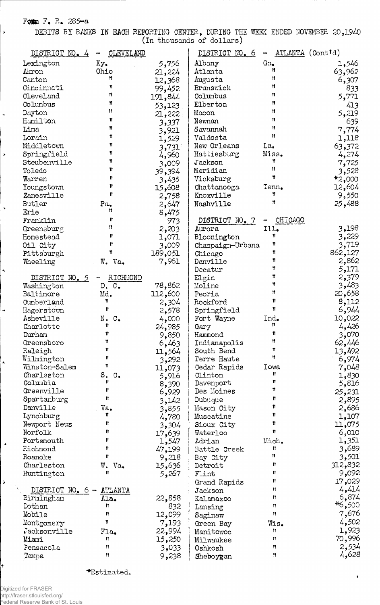# Form F. R. 285-a

 $\bar{\lambda}$ 

 $\ddot{\phantom{1}}$ 

 $\bar{\pmb{r}}$ 

 $\ddot{\phantom{1}}$ 

 $\bar{\star}$ 

 $\overline{A}$ 

 $\ddot{\phantom{0}}$ 

 $\ddot{\phantom{1}}$ 

 $\blacktriangleright$ 

÷

DEBITS BY BANKS IN EACH REPORTING CENTER, DURING THE WEEK ENDED NOVEMBER 20,1940 (In thousands of dollars)

| DISTRICT NO. 4 | CLEVELAND            |         | DISTRICT NO. 6              |                | ATLANTA (Contid) |
|----------------|----------------------|---------|-----------------------------|----------------|------------------|
| Lexington      | Ky.                  | 5,756   | Albany                      | Ga.            | 1,546            |
| Akron          | Ohio                 | 21,224  | Atlanta                     | Ħ              | 63,962           |
| Canton         | Ħ                    | 12,368  | Augusta                     | Ħ              | 6,307            |
| Cincinnati     | Ħ                    | 99,452  | Brunswick                   | 11             | 833              |
| Cleveland      | Ħ                    | 191,844 | Columbus                    | 11             | 5,771            |
| Columbus       | Ħ                    | 53,123  | Elberton                    | Ħ              | 413              |
| Dayton         | Ħ                    | 21,222  | Macon                       | 11             | 5,219            |
| Hamilton       | Ħ                    | 3,337   | Newnan                      | Ħ              | 639              |
| Lima           | Ħ                    | 3,921   | Savannah                    | Ħ              | 7,774            |
| Lorain         | π                    | 1,529   | Valdosta                    | Ħ              | 1,118            |
| Middletown     | 11                   | 3,731   | New Orleans                 | La,            | 63,372           |
| Springfield    | n                    | 4,960   | Hattiesburg                 | Miss.          | 4,274            |
| Steubenville   | n                    | 3,009   | Jackson                     | 11             | 7,725            |
| Toledo         | n                    | 39,394  | Meridian                    | Ħ              | 3,528            |
| Warren         | Ħ                    | 3,435   | Vicksburg                   | Ħ              | $*2,000$         |
| Youngstown     | Ħ                    | 15,608  | Chattanooga                 | Tenn.          | 12,604           |
| Zanesville     | Ħ                    | 2,758   | Knoxville                   | Ħ              | 9,550            |
| Butler         | Pa.                  | 2,647   | Nashville                   | Ħ              | 25,488           |
| Erie           | Ħ                    | 8,475   |                             |                |                  |
| Franklin       | Ħ                    | 973     | DISTRICT NO. 7              | <b>CHICAGO</b> |                  |
| Greensburg     | Ħ                    | 2,203   | Aurora                      | Ill.           | 3,198            |
| Homestead      | Ħ                    | 1,071   | Bloomington                 | Ħ              | 3,229            |
| Oil City       | Ħ                    | 3,009   |                             | 11             | 3,719            |
| Pittsburgh     | Ħ                    | 189,051 | Champaign-Urbana<br>Chicago | Ħ              | 862,127          |
|                | W. Va.               | 7,961   | Danville                    | Ħ              | 2,862            |
| Wheeling       |                      |         | Decatur                     | Ħ              | 5,171            |
| DISTRICT NO. 5 | RICHMOND             |         | Elgin                       | 11             | 2,379            |
| Washington     | D.C.                 | 78,862  | Moline                      | Ħ              | 3,483            |
| Baltinore      | Md.                  | 112,600 | Peoria                      | Ħ              | 20,658           |
| Cumberland     | Ħ                    | 2,304   | Rockford                    | Ħ              | 8,112            |
| Hagerstown     | Ħ                    | 2,578   | Springfield                 | Ħ              | 6,944            |
| Asheville      | N.<br>$\circ$ .      | 4,000   | Fort Wayne                  | Ind.           | 10,022           |
| Charlotte      | n                    | 24,985  | Gary                        | n              | 4,426            |
| Durham         | Ħ                    | 9,850   | Hammond                     | 11             | 3,070            |
| Greensboro     | Ħ                    | 6,463   | Indianapolis                | Ħ              | 62,446           |
| Raleigh        | Ħ                    | 11,564  | South Bend                  | Ħ              | 13,492           |
| Wilmington     | Ħ                    | 3,292   | Terre Haute                 | Ħ              | 6,974            |
| Winston-Salem  | $\pmb{\mathfrak{m}}$ | 11,073  | Cedar Rapids                | Iowa           | 7,048            |
| Charleston     | S.<br>$\mathbf{C}$ . | 5,916   | Clinton                     | Ħ              | 1,830            |
| Columbia       | Ħ                    | 8,390   | Davenport                   | n              | 5,816            |
| Greenville     | n                    | 6,929   | Des Moines                  | n              | 25,231           |
| Spartanburg    | n                    | 3,142   | Dubuque                     | 11             | 2,895            |
| Danville       | Va.                  | 3,855   | Mason City                  | Ħ              | 2,686            |
| Lynchburg      | n                    | 4,780   | Muscatine                   | 11             | 1,107            |
| Newport News   | n                    | 3,304   | Sioux City                  | Ħ              | 11,075           |
| Norfolk        | n                    | 17,639  | Waterloo                    | n              | 6,010            |
| Portsmouth     | Ħ                    | 1,547   | Adrian                      | Mich.          | 1,351            |
| Richmond       | Ħ                    | 47,199  | Battle Creek                | Ħ              | 3,689            |
| Roanoke        | Ħ                    | 9,218   | Bay City                    | Ħ              | 3,501            |
| Charleston     | W.<br>Va.            | 15,636  | Detroit                     | Ħ              | 312,832          |
| Huntington     | Ħ                    | 5,267   | Flint                       | Ħ              | 9,092            |
|                |                      |         | Grand Rapids                | Ħ              | 17,029           |
| DISTRICT NO. 6 | ATLANTA              |         | Jackson                     | 11             | 4,414            |
| Eirmingham     | Ala.                 | 22,858  | Kalamazoo                   | Ħ              | 6,874            |
| Dothan         | Ħ                    | 832     | Lansing                     | Ħ              | *6,500           |
| Mobile         | n                    | 12,099  | Saginaw                     | 11             | 7,676            |
| Montgomery     | Ħ                    | 7,193   | Green Bay                   | Wis.           | 4,502            |
| Jacksonville   | Fla.                 | 22,994  | Manitowoc                   | ा।             | 1,923            |
| Miami          | Ħ                    | 15,250  | Milwaukee                   | 11             | 70,996           |
| Pensacola      | Ħ                    | 3,033   | Oshkosh                     | n              | 2,534            |
| Tampa          | Ħ                    | 9,238   | Sheboygan                   | n              | 4,628            |
|                |                      |         |                             |                |                  |

\*Estimated.